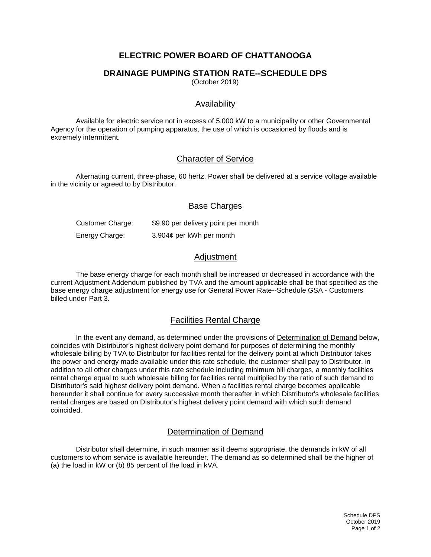# **ELECTRIC POWER BOARD OF CHATTANOOGA**

## **DRAINAGE PUMPING STATION RATE--SCHEDULE DPS**

(October 2019)

## Availability

Available for electric service not in excess of 5,000 kW to a municipality or other Governmental Agency for the operation of pumping apparatus, the use of which is occasioned by floods and is extremely intermittent.

## Character of Service

Alternating current, three-phase, 60 hertz. Power shall be delivered at a service voltage available in the vicinity or agreed to by Distributor.

## Base Charges

Customer Charge: \$9.90 per delivery point per month Energy Charge: 3.904¢ per kWh per month

## Adjustment

The base energy charge for each month shall be increased or decreased in accordance with the current Adjustment Addendum published by TVA and the amount applicable shall be that specified as the base energy charge adjustment for energy use for General Power Rate--Schedule GSA - Customers billed under Part 3.

#### Facilities Rental Charge

In the event any demand, as determined under the provisions of Determination of Demand below, coincides with Distributor's highest delivery point demand for purposes of determining the monthly wholesale billing by TVA to Distributor for facilities rental for the delivery point at which Distributor takes the power and energy made available under this rate schedule, the customer shall pay to Distributor, in addition to all other charges under this rate schedule including minimum bill charges, a monthly facilities rental charge equal to such wholesale billing for facilities rental multiplied by the ratio of such demand to Distributor's said highest delivery point demand. When a facilities rental charge becomes applicable hereunder it shall continue for every successive month thereafter in which Distributor's wholesale facilities rental charges are based on Distributor's highest delivery point demand with which such demand coincided.

## Determination of Demand

Distributor shall determine, in such manner as it deems appropriate, the demands in kW of all customers to whom service is available hereunder. The demand as so determined shall be the higher of (a) the load in kW or (b) 85 percent of the load in kVA.